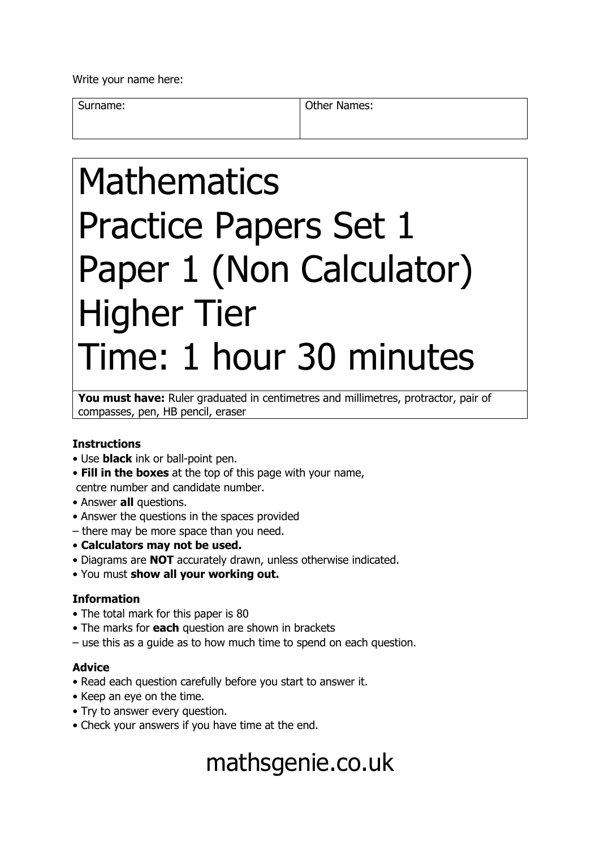Write your name here:

Surname: **Other Names: Other Names:** 

# **Mathematics** Practice Papers Set 1 Paper 1 (Non Calculator) Higher Tier Time: 1 hour 30 minutes

You must have: Ruler graduated in centimetres and millimetres, protractor, pair of compasses, pen, HB pencil, eraser

### **Instructions**

- Use **black** ink or ball-point pen.
- **Fill in the boxes** at the top of this page with your name, centre number and candidate number.
- Answer **all** questions.
- Answer the questions in the spaces provided
- there may be more space than you need.
- **Calculators may not be used.**
- Diagrams are **NOT** accurately drawn, unless otherwise indicated.
- You must **show all your working out.**

### **Information**

- The total mark for this paper is 80
- The marks for **each** question are shown in brackets
- use this as a guide as to how much time to spend on each question.

#### **Advice**

- Read each question carefully before you start to answer it.
- Keep an eye on the time.
- Try to answer every question.
- Check your answers if you have time at the end.

## mathsgenie.co.uk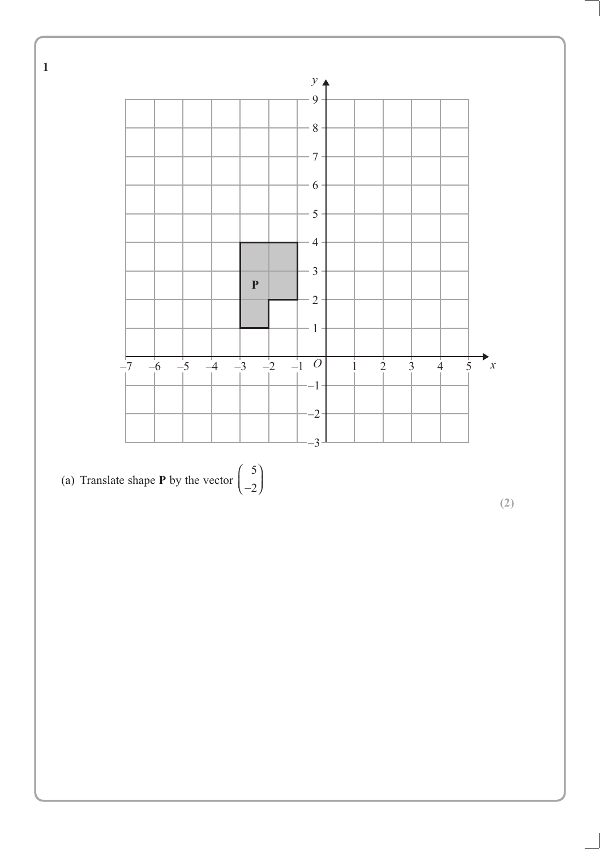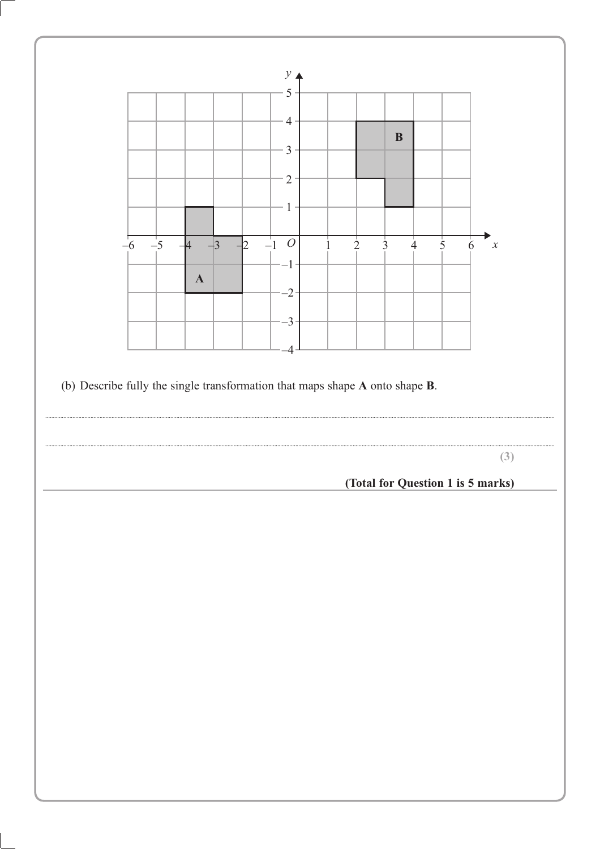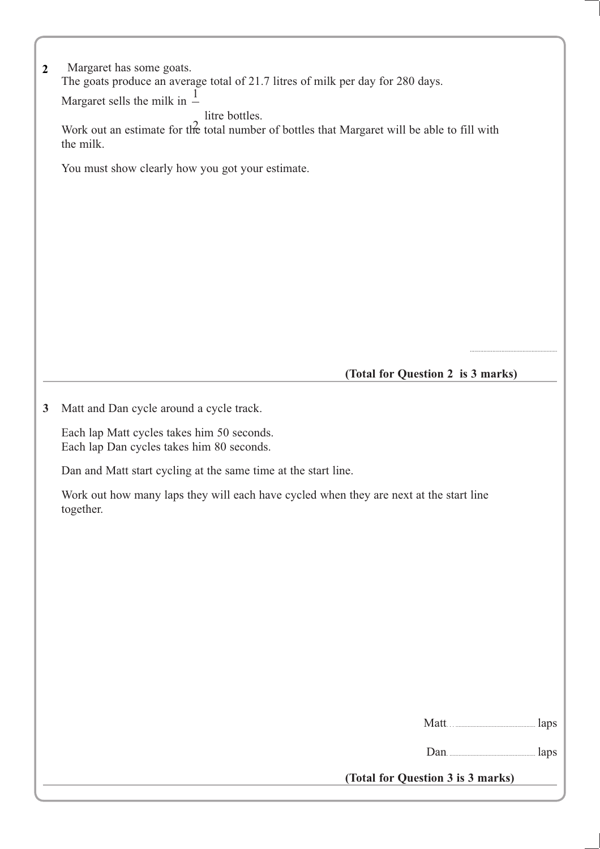| $\overline{2}$ | Margaret has some goats.                                                                                       |
|----------------|----------------------------------------------------------------------------------------------------------------|
|                | The goats produce an average total of 21.7 litres of milk per day for 280 days.                                |
|                | Margaret sells the milk in $\frac{1}{x}$                                                                       |
|                | litre bottles.<br>Work out an estimate for the total number of bottles that Margaret will be able to fill with |
|                | the milk.                                                                                                      |
|                | You must show clearly how you got your estimate.                                                               |
|                |                                                                                                                |
|                |                                                                                                                |
|                |                                                                                                                |
|                |                                                                                                                |
|                |                                                                                                                |
|                |                                                                                                                |
|                |                                                                                                                |
|                |                                                                                                                |
|                |                                                                                                                |
|                |                                                                                                                |
|                |                                                                                                                |
|                | (Total for Question 2 is 3 marks)                                                                              |
|                |                                                                                                                |
| 3              | Matt and Dan cycle around a cycle track.                                                                       |
|                | Each lap Matt cycles takes him 50 seconds.                                                                     |
|                | Each lap Dan cycles takes him 80 seconds.                                                                      |
|                | Dan and Matt start cycling at the same time at the start line.                                                 |
|                |                                                                                                                |
|                | Work out how many laps they will each have cycled when they are next at the start line<br>together.            |
|                |                                                                                                                |
|                |                                                                                                                |
|                |                                                                                                                |
|                |                                                                                                                |
|                |                                                                                                                |
|                |                                                                                                                |
|                |                                                                                                                |
|                |                                                                                                                |
|                |                                                                                                                |
|                |                                                                                                                |
|                |                                                                                                                |
|                | laps                                                                                                           |
|                |                                                                                                                |
|                | Dan <b>Institute Dan</b>                                                                                       |
|                | (Total for Question 3 is 3 marks)                                                                              |
|                |                                                                                                                |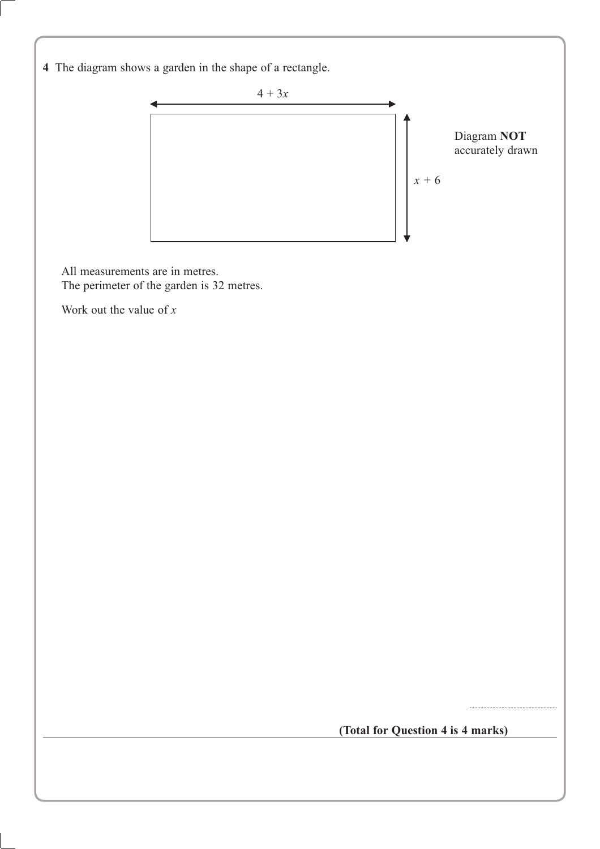**4** The diagram shows a garden in the shape of a rectangle.



All measurements are in metres. The perimeter of the garden is 32 metres.

Work out the value of *x*

**(Total for Question 4 is 4 marks)**

..........................................................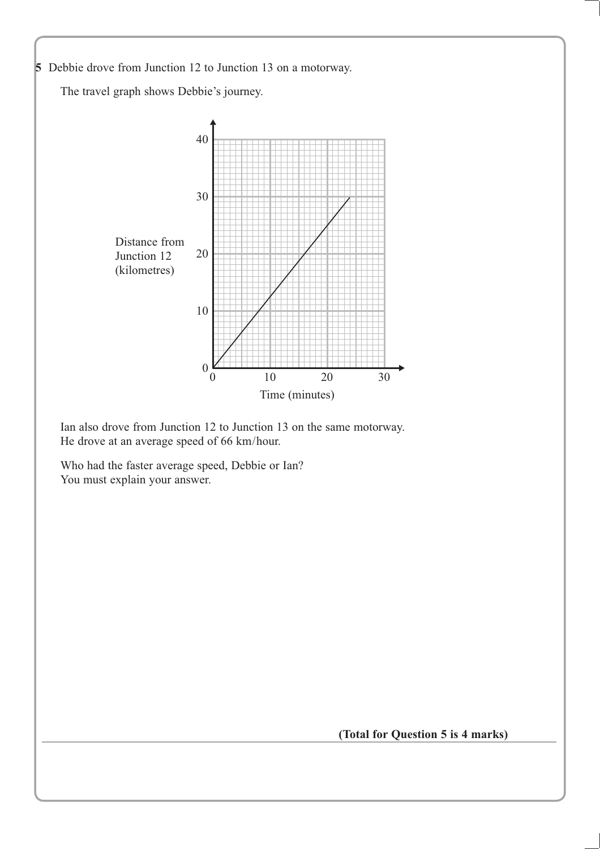

Who had the faster average speed, Debbie or Ian? You must explain your answer.

**(Total for Question 5 is 4 marks)**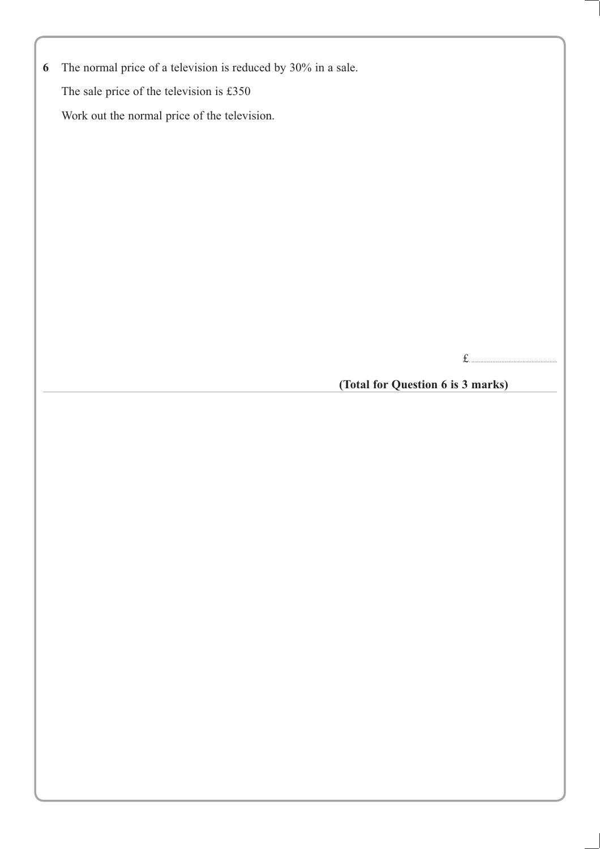|  | 6 The normal price of a television is reduced by $30\%$ in a sale. |  |  |  |  |  |  |  |  |  |  |
|--|--------------------------------------------------------------------|--|--|--|--|--|--|--|--|--|--|
|--|--------------------------------------------------------------------|--|--|--|--|--|--|--|--|--|--|

The sale price of the television is £350

Work out the normal price of the television.

£. .........................................................

**(Total for Question 6 is 3 marks)**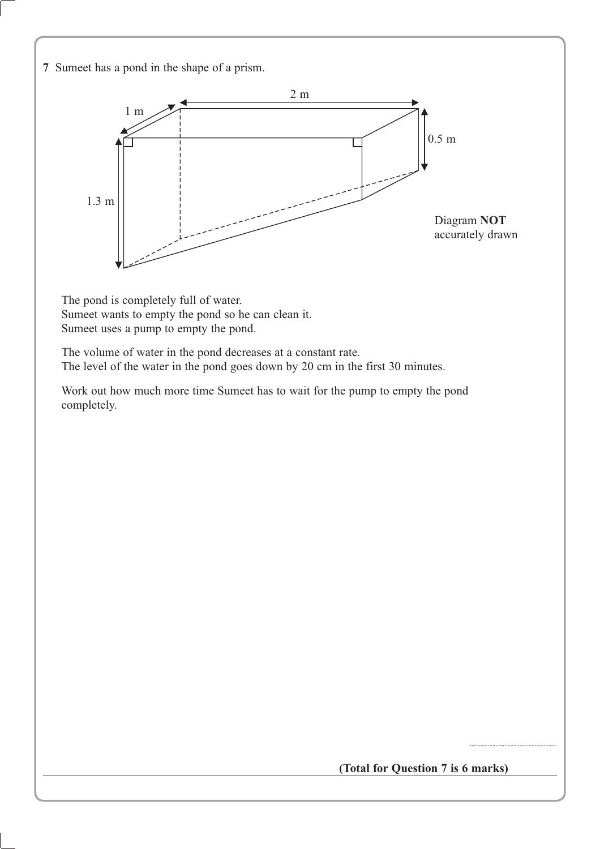**7** Sumeet has a pond in the shape of a prism.



The pond is completely full of water. Sumeet wants to empty the pond so he can clean it. Sumeet uses a pump to empty the pond.

The volume of water in the pond decreases at a constant rate. The level of the water in the pond goes down by 20 cm in the first 30 minutes.

Work out how much more time Sumeet has to wait for the pump to empty the pond completely.

**(Total for Question 7 is 6 marks)**

..........................................................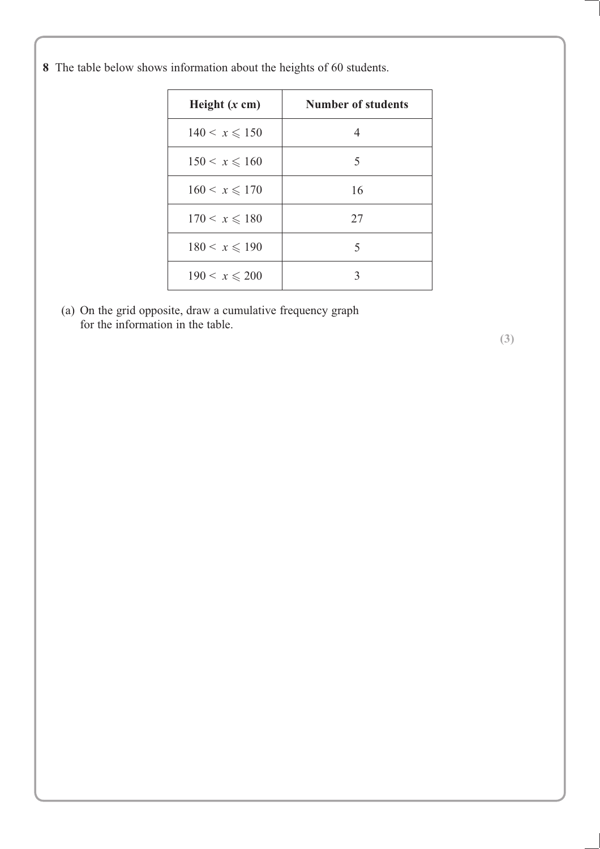**8** The table below shows information about the heights of 60 students.

| Height $(x \text{ cm})$ | Number of students |
|-------------------------|--------------------|
| $140 < x \le 150$       | 4                  |
| $150 < x \le 160$       | 5                  |
| $160 < x \le 170$       | 16                 |
| $170 \le x \le 180$     | 27                 |
| $180 < x \le 190$       | 5                  |
| $190 < x \le 200$       | 3                  |

(a) On the grid opposite, draw a cumulative frequency graph for the information in the table.

**(3)**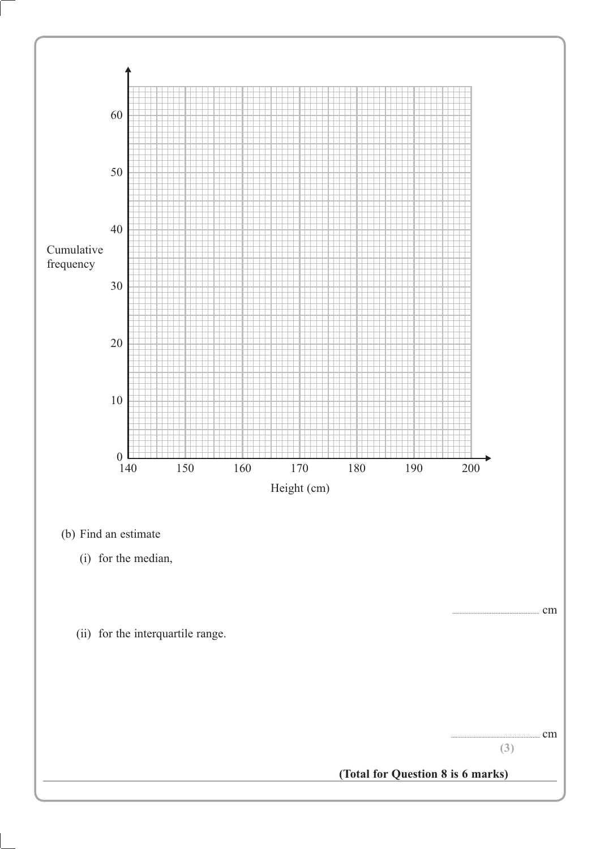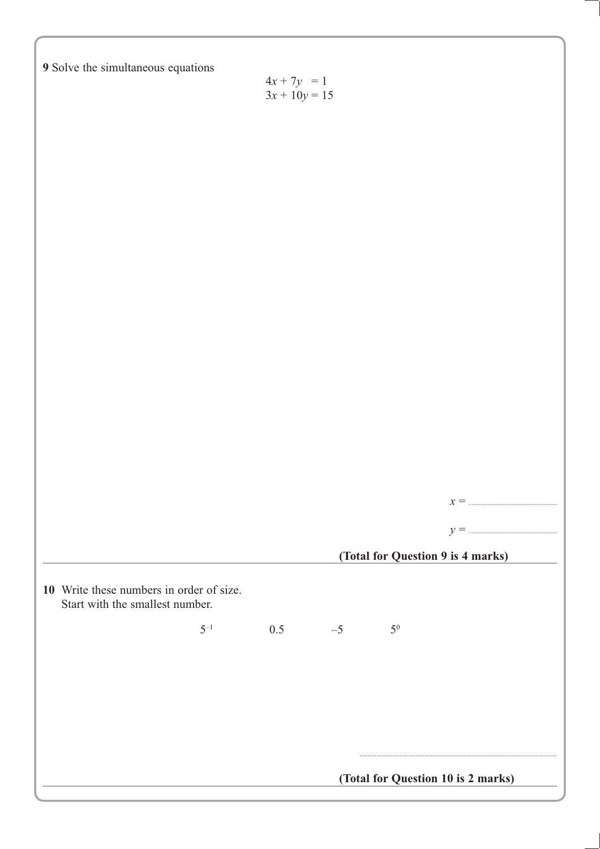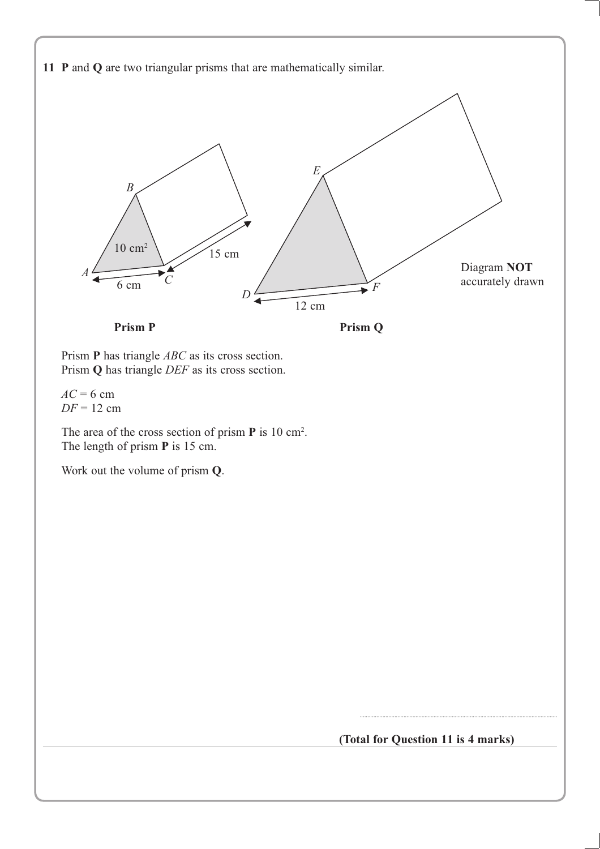

Prism **P** has triangle *ABC* as its cross section. Prism **Q** has triangle *DEF* as its cross section.

 $AC = 6$  cm *DF* = 12 cm

The area of the cross section of prism **P** is 10 cm2 . The length of prism **P** is 15 cm.

Work out the volume of prism **Q**.

**(Total for Question 11 is 4 marks)**

...................................................................................................................................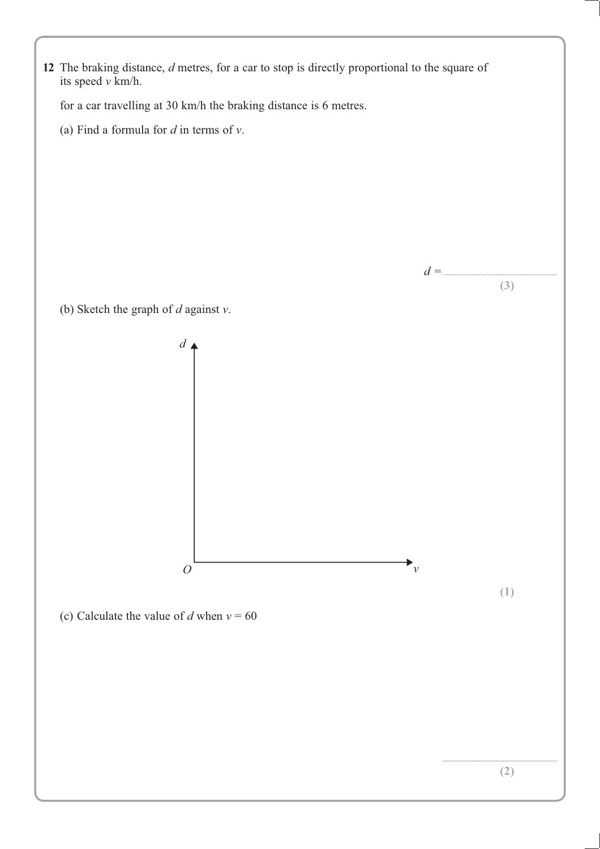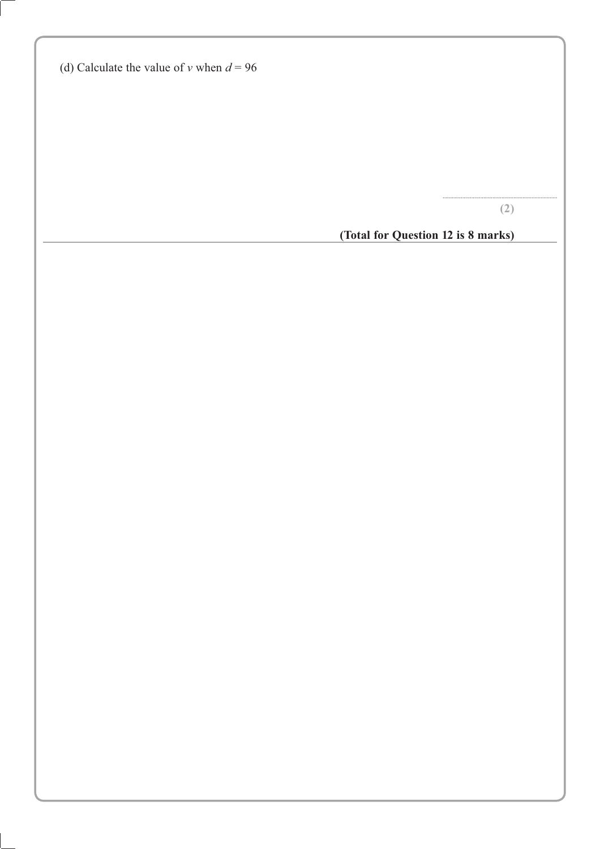|  | (d) Calculate the value of v when $d = 96$ |  |  |  |
|--|--------------------------------------------|--|--|--|
|  |                                            |  |  |  |

**(2)**

............................................................................

**(Total for Question 12 is 8 marks)**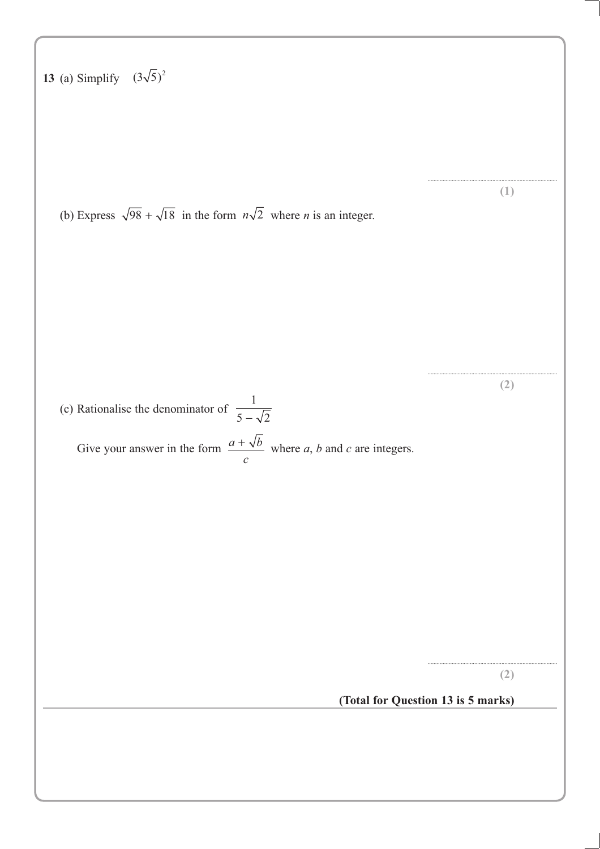**13** (a) Simplify  $(3\sqrt{5})^2$ ...................................................................................... **(1)** (b) Express  $\sqrt{98} + \sqrt{18}$  in the form  $n\sqrt{2}$  where *n* is an integer. ...................................................................................... **(2)** (c) Rationalise the denominator of 1  $5 - \sqrt{2}$ Give your answer in the form  $\frac{a + \sqrt{b}}{c}$  where *a*, *b* and *c* are integers. ...................................................................................... **(2) (Total for Question 13 is 5 marks)**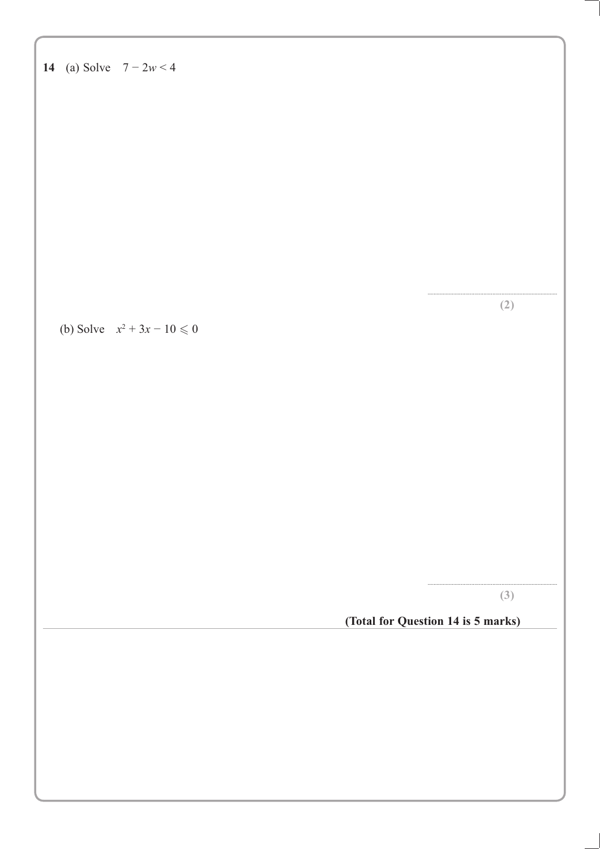| 14 (a) Solve $7 - 2w < 4$       |                                    |  |
|---------------------------------|------------------------------------|--|
|                                 |                                    |  |
|                                 |                                    |  |
|                                 |                                    |  |
|                                 |                                    |  |
|                                 |                                    |  |
|                                 |                                    |  |
|                                 | (2)                                |  |
| (b) Solve $x^2 + 3x - 10 \le 0$ |                                    |  |
|                                 |                                    |  |
|                                 |                                    |  |
|                                 |                                    |  |
|                                 |                                    |  |
|                                 |                                    |  |
|                                 |                                    |  |
|                                 |                                    |  |
|                                 | (3)                                |  |
|                                 | (Total for Question 14 is 5 marks) |  |
|                                 |                                    |  |
|                                 |                                    |  |
|                                 |                                    |  |
|                                 |                                    |  |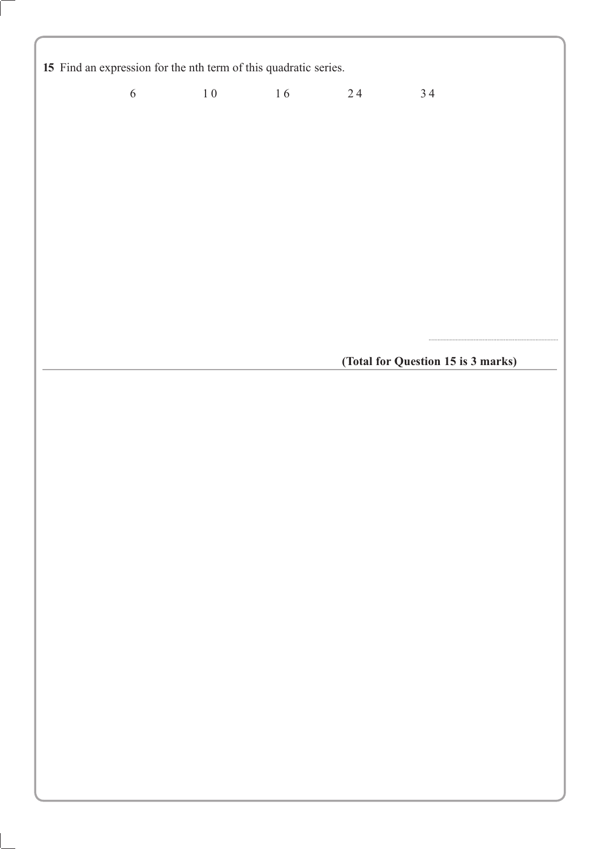15 Find an expression for the nth term of this quadratic series.

 $6\overline{6}$  $10$ 16  $24$ 34

(Total for Question 15 is 3 marks)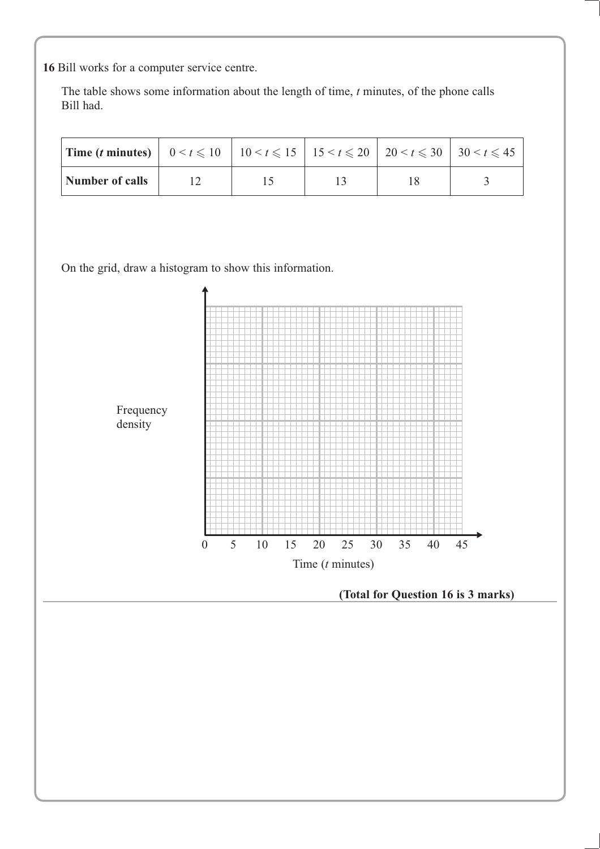**16** Bill works for a computer service centre.

The table shows some information about the length of time, *t* minutes, of the phone calls Bill had.

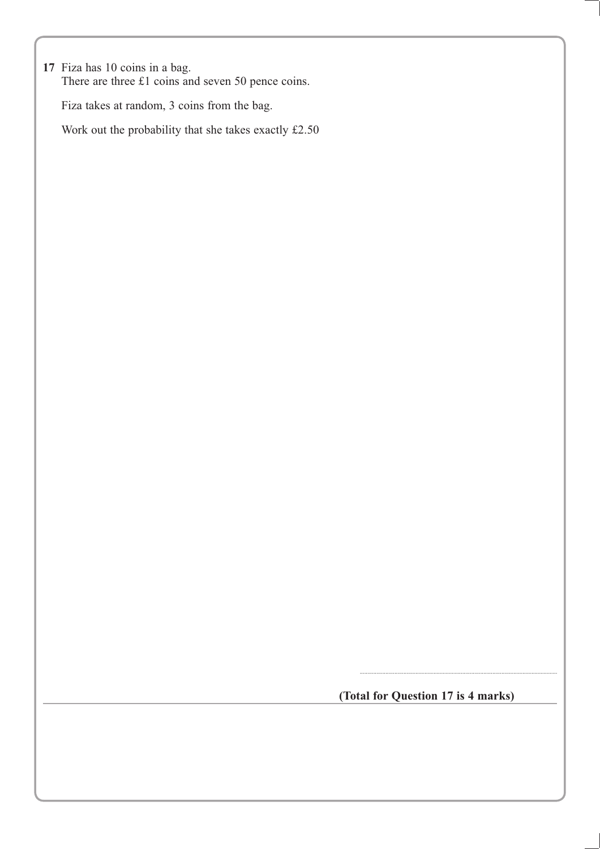**17** Fiza has 10 coins in a bag. There are three £1 coins and seven 50 pence coins.

Fiza takes at random, 3 coins from the bag.

Work out the probability that she takes exactly £2.50

**(Total for Question 17 is 4 marks)**

...................................................................................................................................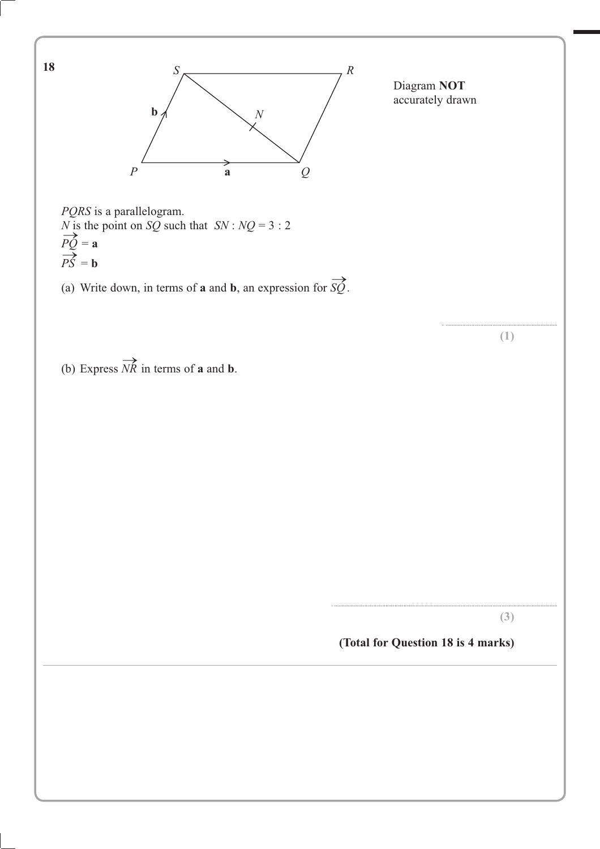